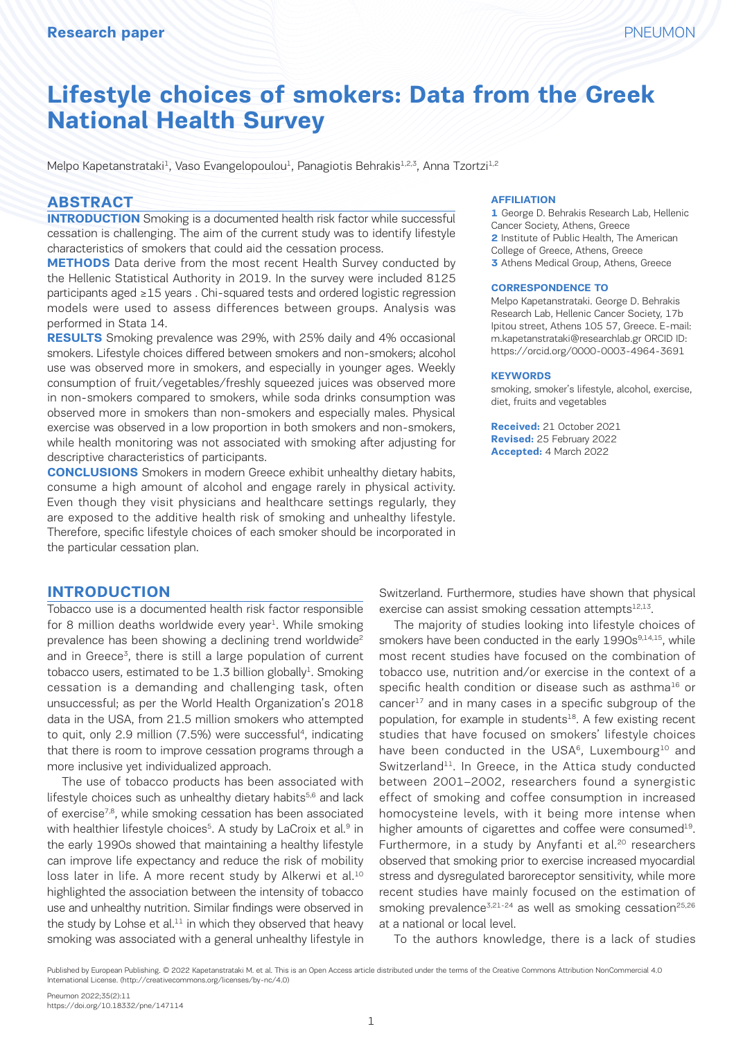# **Lifestyle choices of smokers: Data from the Greek National Health Survey**

Melpo Kapetanstrataki<sup>1</sup>, Vaso Evangelopoulou<sup>1</sup>, Panagiotis Behrakis<sup>1,2,3</sup>, Anna Tzortzi<sup>1,2</sup>

#### **ABSTRACT**

**INTRODUCTION** Smoking is a documented health risk factor while successful cessation is challenging. The aim of the current study was to identify lifestyle characteristics of smokers that could aid the cessation process.

**METHODS** Data derive from the most recent Health Survey conducted by the Hellenic Statistical Authority in 2019. In the survey were included 8125 participants aged ≥15 years . Chi-squared tests and ordered logistic regression models were used to assess differences between groups. Analysis was performed in Stata 14.

**RESULTS** Smoking prevalence was 29%, with 25% daily and 4% occasional smokers. Lifestyle choices differed between smokers and non-smokers; alcohol use was observed more in smokers, and especially in younger ages. Weekly consumption of fruit/vegetables/freshly squeezed juices was observed more in non-smokers compared to smokers, while soda drinks consumption was observed more in smokers than non-smokers and especially males. Physical exercise was observed in a low proportion in both smokers and non-smokers, while health monitoring was not associated with smoking after adjusting for descriptive characteristics of participants.

**CONCLUSIONS** Smokers in modern Greece exhibit unhealthy dietary habits, consume a high amount of alcohol and engage rarely in physical activity. Even though they visit physicians and healthcare settings regularly, they are exposed to the additive health risk of smoking and unhealthy lifestyle. Therefore, specific lifestyle choices of each smoker should be incorporated in the particular cessation plan.

#### **INTRODUCTION**

Tobacco use is a documented health risk factor responsible for 8 million deaths worldwide every year<sup>1</sup>. While smoking prevalence has been showing a declining trend worldwide<sup>2</sup> and in Greece<sup>3</sup>, there is still a large population of current tobacco users, estimated to be 1.3 billion globally<sup>1</sup>. Smoking cessation is a demanding and challenging task, often unsuccessful; as per the World Health Organization's 2018 data in the USA, from 21.5 million smokers who attempted to quit, only 2.9 million (7.5%) were successful<sup>4</sup>, indicating that there is room to improve cessation programs through a more inclusive yet individualized approach.

The use of tobacco products has been associated with lifestyle choices such as unhealthy dietary habits $5,6$  and lack of exercise7,8, while smoking cessation has been associated with healthier lifestyle choices<sup>5</sup>. A study by LaCroix et al.<sup>9</sup> in the early 1990s showed that maintaining a healthy lifestyle can improve life expectancy and reduce the risk of mobility loss later in life. A more recent study by Alkerwi et al.<sup>10</sup> highlighted the association between the intensity of tobacco use and unhealthy nutrition. Similar findings were observed in the study by Lohse et al. $11$  in which they observed that heavy smoking was associated with a general unhealthy lifestyle in

#### **AFFILIATION**

**1** George D. Behrakis Research Lab, Hellenic Cancer Society, Athens, Greece **2** Institute of Public Health, The American College of Greece, Athens, Greece **3** Athens Medical Group, Athens, Greece

#### **CORRESPONDENCE TO**

Melpo Kapetanstrataki. George D. Behrakis Research Lab, Hellenic Cancer Society, 17b Ipitou street, Athens 105 57, Greece. E-mail: m.kapetanstrataki@researchlab.gr ORCID ID: https://orcid.org/0000-0003-4964-3691

#### **KEYWORDS**

smoking, smoker's lifestyle, alcohol, exercise, diet, fruits and vegetables

**Received:** 21 October 2021 **Revised:** 25 February 2022 **Accepted:** 4 March 2022

Switzerland. Furthermore, studies have shown that physical exercise can assist smoking cessation attempts $12,13$ .

The majority of studies looking into lifestyle choices of smokers have been conducted in the early 1990s<sup>9,14,15</sup>, while most recent studies have focused on the combination of tobacco use, nutrition and/or exercise in the context of a specific health condition or disease such as asthma<sup>16</sup> or cancer<sup>17</sup> and in many cases in a specific subgroup of the population, for example in students<sup>18</sup>. A few existing recent studies that have focused on smokers' lifestyle choices have been conducted in the USA<sup>6</sup>, Luxembourg<sup>10</sup> and Switzerland<sup>11</sup>. In Greece, in the Attica study conducted between 2001–2002, researchers found a synergistic effect of smoking and coffee consumption in increased homocysteine levels, with it being more intense when higher amounts of cigarettes and coffee were consumed<sup>19</sup>. Furthermore, in a study by Anyfanti et al.<sup>20</sup> researchers observed that smoking prior to exercise increased myocardial stress and dysregulated baroreceptor sensitivity, while more recent studies have mainly focused on the estimation of smoking prevalence<sup>3,21-24</sup> as well as smoking cessation<sup>25,26</sup> at a national or local level.

To the authors knowledge, there is a lack of studies

Published by European Publishing. © 2022 Kapetanstrataki M. et al. This is an Open Access article distributed under the terms of the Creative Commons Attribution NonCommercial 4.0 International License. (http://creativecommons.org/licenses/by-nc/4.0)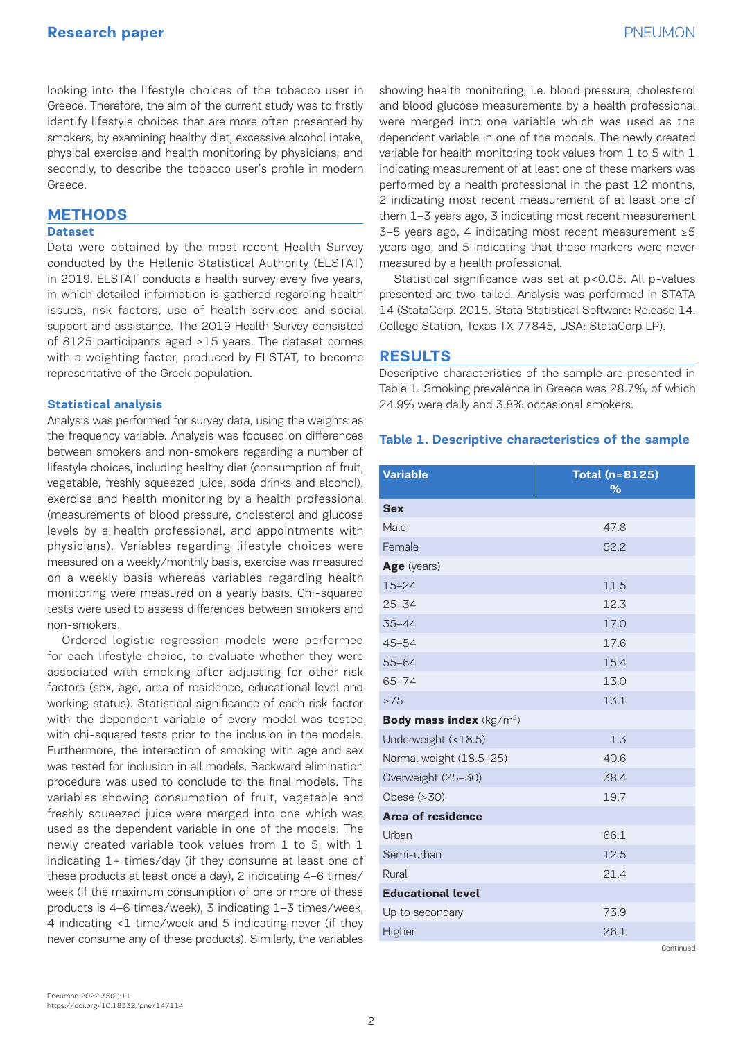looking into the lifestyle choices of the tobacco user in Greece. Therefore, the aim of the current study was to firstly identify lifestyle choices that are more often presented by smokers, by examining healthy diet, excessive alcohol intake, physical exercise and health monitoring by physicians; and secondly, to describe the tobacco user's profile in modern Greece.

#### **METHODS**

#### **Dataset**

Data were obtained by the most recent Health Survey conducted by the Hellenic Statistical Authority (ELSTAT) in 2019. ELSTAT conducts a health survey every five years, in which detailed information is gathered regarding health issues, risk factors, use of health services and social support and assistance. The 2019 Health Survey consisted of 8125 participants aged ≥15 years. The dataset comes with a weighting factor, produced by ELSTAT, to become representative of the Greek population.

#### **Statistical analysis**

Analysis was performed for survey data, using the weights as the frequency variable. Analysis was focused on differences between smokers and non-smokers regarding a number of lifestyle choices, including healthy diet (consumption of fruit, vegetable, freshly squeezed juice, soda drinks and alcohol), exercise and health monitoring by a health professional (measurements of blood pressure, cholesterol and glucose levels by a health professional, and appointments with physicians). Variables regarding lifestyle choices were measured on a weekly/monthly basis, exercise was measured on a weekly basis whereas variables regarding health monitoring were measured on a yearly basis. Chi-squared tests were used to assess differences between smokers and non-smokers.

Ordered logistic regression models were performed for each lifestyle choice, to evaluate whether they were associated with smoking after adjusting for other risk factors (sex, age, area of residence, educational level and working status). Statistical significance of each risk factor with the dependent variable of every model was tested with chi-squared tests prior to the inclusion in the models. Furthermore, the interaction of smoking with age and sex was tested for inclusion in all models. Backward elimination procedure was used to conclude to the final models. The variables showing consumption of fruit, vegetable and freshly squeezed juice were merged into one which was used as the dependent variable in one of the models. The newly created variable took values from 1 to 5, with 1 indicating 1+ times/day (if they consume at least one of these products at least once a day), 2 indicating 4–6 times/ week (if the maximum consumption of one or more of these products is 4–6 times/week), 3 indicating 1–3 times/week, 4 indicating <1 time/week and 5 indicating never (if they never consume any of these products). Similarly, the variables

showing health monitoring, i.e. blood pressure, cholesterol and blood glucose measurements by a health professional were merged into one variable which was used as the dependent variable in one of the models. The newly created variable for health monitoring took values from 1 to 5 with 1 indicating measurement of at least one of these markers was performed by a health professional in the past 12 months, 2 indicating most recent measurement of at least one of them 1–3 years ago, 3 indicating most recent measurement 3–5 years ago, 4 indicating most recent measurement ≥5 years ago, and 5 indicating that these markers were never measured by a health professional.

Statistical significance was set at p<0.05. All p-values presented are two-tailed. Analysis was performed in STATA 14 (StataCorp. 2015. Stata Statistical Software: Release 14. College Station, Texas TX 77845, USA: StataCorp LP).

#### **RESULTS**

Descriptive characteristics of the sample are presented in Table 1. Smoking prevalence in Greece was 28.7%, of which 24.9% were daily and 3.8% occasional smokers.

#### **Table 1. Descriptive characteristics of the sample**

| <b>Variable</b>                     | <b>Total (n=8125)</b><br>$\frac{9}{6}$ |
|-------------------------------------|----------------------------------------|
| <b>Sex</b>                          |                                        |
| Male                                | 47.8                                   |
| Female                              | 52.2                                   |
| Age (years)                         |                                        |
| $15 - 24$                           | 11.5                                   |
| $25 - 34$                           | 12.3                                   |
| $35 - 44$                           | 17.0                                   |
| $45 - 54$                           | 17.6                                   |
| $55 - 64$                           | 15.4                                   |
| $65 - 74$                           | 13.0                                   |
| $\geq 75$                           | 13.1                                   |
| <b>Body mass index</b> ( $kg/m^2$ ) |                                        |
| Underweight (<18.5)                 | 1.3                                    |
| Normal weight (18.5-25)             | 40.6                                   |
| Overweight (25-30)                  | 38.4                                   |
| Obese $(>30)$                       | 19.7                                   |
| Area of residence                   |                                        |
| Urban                               | 66.1                                   |
| Semi-urban                          | 12.5                                   |
| Rural                               | 21.4                                   |
| <b>Educational level</b>            |                                        |
| Up to secondary                     | 73.9                                   |
| Higher                              | 26.1                                   |
|                                     | Continued                              |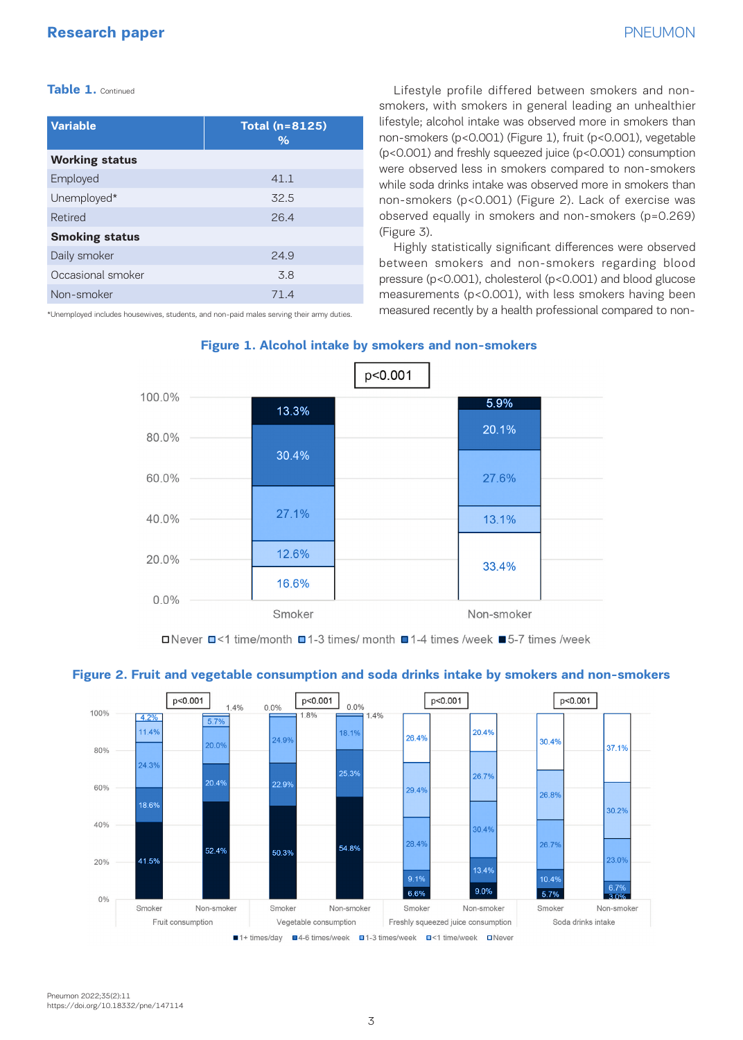#### **Table 1.** Continued

| <b>Variable</b>       | <b>Total (n=8125)</b><br>$\%$ |
|-----------------------|-------------------------------|
| <b>Working status</b> |                               |
| Employed              | 41.1                          |
| Unemployed*           | 32.5                          |
| Retired               | 26.4                          |
| <b>Smoking status</b> |                               |
| Daily smoker          | 24.9                          |
| Occasional smoker     | 3.8                           |
| Non-smoker            | 71.4                          |

\*Unemployed includes housewives, students, and non-paid males serving their army duties.

Lifestyle profile differed between smokers and nonsmokers, with smokers in general leading an unhealthier lifestyle; alcohol intake was observed more in smokers than non-smokers (p<0.001) (Figure 1), fruit (p<0.001), vegetable (p<0.001) and freshly squeezed juice (p<0.001) consumption were observed less in smokers compared to non-smokers while soda drinks intake was observed more in smokers than non-smokers (p<0.001) (Figure 2). Lack of exercise was observed equally in smokers and non-smokers (p=0.269) (Figure 3).

Highly statistically significant differences were observed between smokers and non-smokers regarding blood pressure (p<0.001), cholesterol (p<0.001) and blood glucose measurements (p<0.001), with less smokers having been measured recently by a health professional compared to non-



**Figure 1. Alcohol intake by smokers and non-smokers**

<sup>□</sup>Never □<1 time/month □1-3 times/ month □1-4 times /week ■5-7 times /week



#### **Figure 2. Fruit and vegetable consumption and soda drinks intake by smokers and non-smokers**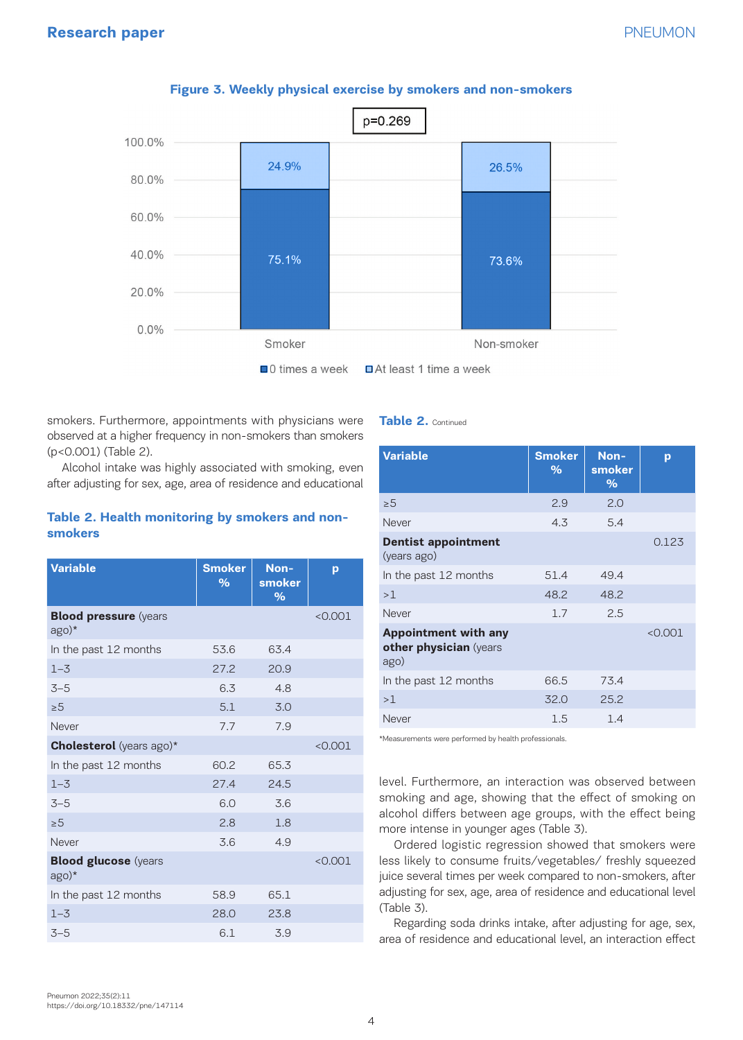# **Research paper** PNEUMON



#### **Figure 3. Weekly physical exercise by smokers and non-smokers**

smokers. Furthermore, appointments with physicians were observed at a higher frequency in non-smokers than smokers (p<0.001) (Table 2).

Alcohol intake was highly associated with smoking, even after adjusting for sex, age, area of residence and educational

## **Table 2. Health monitoring by smokers and nonsmokers**

| <b>Variable</b>                        | <b>Smoker</b><br>$\%$ | Non-<br>smoker<br>$\%$ | p       |
|----------------------------------------|-----------------------|------------------------|---------|
| <b>Blood pressure (years)</b><br>ago)* |                       |                        | < 0.001 |
| In the past 12 months                  | 53.6                  | 63.4                   |         |
| $1 - 3$                                | 27.2                  | 20.9                   |         |
| $3 - 5$                                | 6.3                   | 4.8                    |         |
| > 5                                    | 5.1                   | 3.0                    |         |
| Never                                  | 7.7                   | 7.9                    |         |
| <b>Cholesterol</b> (years ago)*        |                       |                        | < 0.001 |
| In the past 12 months                  | 60.2                  | 65.3                   |         |
| $1 - 3$                                | 27.4                  | 24.5                   |         |
| $3 - 5$                                | 6.0                   | 3.6                    |         |
| > 5                                    | 2.8                   | 1.8                    |         |
| Never                                  | 3.6                   | 4.9                    |         |
| <b>Blood glucose</b> (years<br>$ago)*$ |                       |                        | < 0.001 |
| In the past 12 months                  | 58.9                  | 65.1                   |         |
| $1 - 3$                                | 28.0                  | 23.8                   |         |
| $3 - 5$                                | 6.1                   | 3.9                    |         |

# **Table 2.** Continued

| <b>Smoker</b><br>% | Non-<br>smoker<br>$\%$ | p       |
|--------------------|------------------------|---------|
| 2.9                | 2.0                    |         |
| 4.3                | 5.4                    |         |
|                    |                        | 0.123   |
| 51.4               | 49.4                   |         |
| 48.2               | 48.2                   |         |
| 1.7                | 2.5                    |         |
|                    |                        | < 0.001 |
| 66.5               | 73.4                   |         |
| 32.0               | 25.2                   |         |
| 1.5                | 1.4                    |         |
|                    |                        |         |

\*Measurements were performed by health professionals.

level. Furthermore, an interaction was observed between smoking and age, showing that the effect of smoking on alcohol differs between age groups, with the effect being more intense in younger ages (Table 3).

Ordered logistic regression showed that smokers were less likely to consume fruits/vegetables/ freshly squeezed juice several times per week compared to non-smokers, after adjusting for sex, age, area of residence and educational level (Table 3).

Regarding soda drinks intake, after adjusting for age, sex, area of residence and educational level, an interaction effect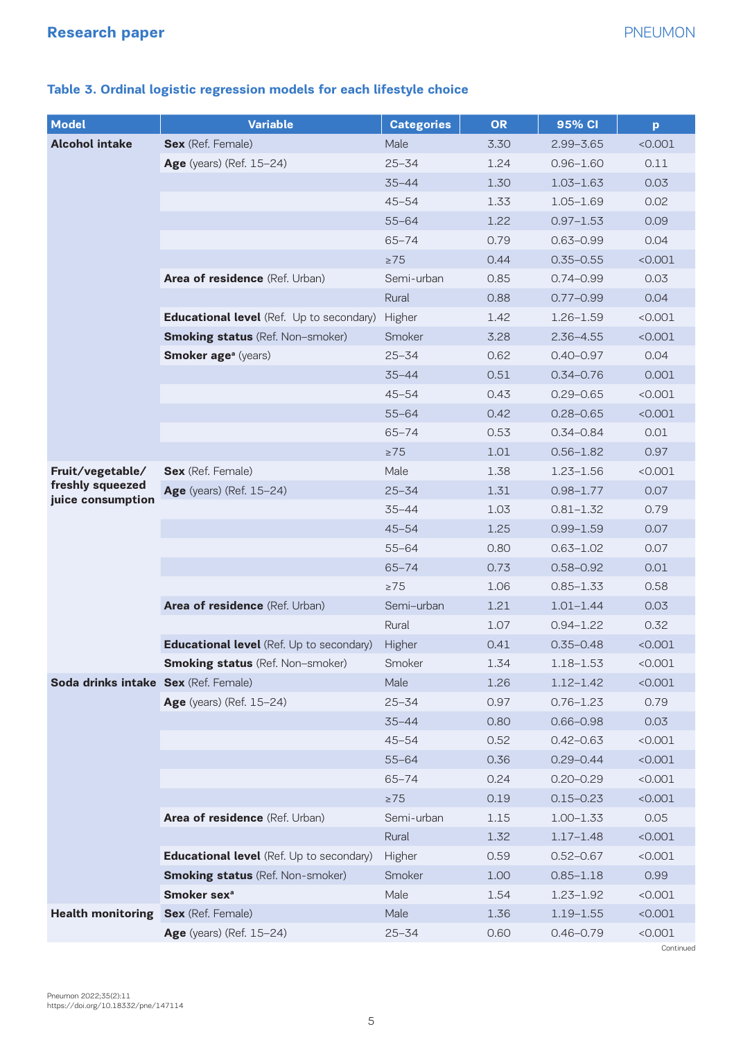| <b>Model</b>                          | <b>Variable</b>                          | <b>Categories</b> | <b>OR</b> | 95% CI        | p         |
|---------------------------------------|------------------------------------------|-------------------|-----------|---------------|-----------|
| <b>Alcohol intake</b>                 | Sex (Ref. Female)                        | Male              | 3.30      | $2.99 - 3.65$ | < 0.001   |
|                                       | Age (years) (Ref. 15-24)                 | $25 - 34$         | 1.24      | $0.96 - 1.60$ | 0.11      |
|                                       |                                          | $35 - 44$         | 1.30      | $1.03 - 1.63$ | 0.03      |
|                                       |                                          | $45 - 54$         | 1.33      | $1.05 - 1.69$ | 0.02      |
|                                       |                                          | $55 - 64$         | 1.22      | $0.97 - 1.53$ | 0.09      |
|                                       |                                          | $65 - 74$         | 0.79      | $0.63 - 0.99$ | 0.04      |
|                                       |                                          | $\geq 75$         | 0.44      | $0.35 - 0.55$ | < 0.001   |
|                                       | Area of residence (Ref. Urban)           | Semi-urban        | 0.85      | $0.74 - 0.99$ | 0.03      |
|                                       |                                          | Rural             | 0.88      | $0.77 - 0.99$ | 0.04      |
|                                       | Educational level (Ref. Up to secondary) | Higher            | 1.42      | $1.26 - 1.59$ | < 0.001   |
|                                       | <b>Smoking status (Ref. Non-smoker)</b>  | Smoker            | 3.28      | $2.36 - 4.55$ | < 0.001   |
|                                       | <b>Smoker age<sup>a</sup></b> (years)    | $25 - 34$         | 0.62      | $0.40 - 0.97$ | 0.04      |
|                                       |                                          | $35 - 44$         | 0.51      | $0.34 - 0.76$ | 0.001     |
|                                       |                                          | $45 - 54$         | 0.43      | $0.29 - 0.65$ | < 0.001   |
|                                       |                                          | $55 - 64$         | 0.42      | $0.28 - 0.65$ | < 0.001   |
|                                       |                                          | $65 - 74$         | 0.53      | $0.34 - 0.84$ | 0.01      |
|                                       |                                          | $\geq 75$         | 1.01      | $0.56 - 1.82$ | 0.97      |
| Fruit/vegetable/                      | Sex (Ref. Female)                        | Male              | 1.38      | $1.23 - 1.56$ | < 0.001   |
| freshly squeezed<br>juice consumption | Age (years) (Ref. 15-24)                 | $25 - 34$         | 1.31      | $0.98 - 1.77$ | 0.07      |
|                                       |                                          | $35 - 44$         | 1.03      | $0.81 - 1.32$ | 0.79      |
|                                       |                                          | $45 - 54$         | 1.25      | $0.99 - 1.59$ | 0.07      |
|                                       |                                          | $55 - 64$         | 0.80      | $0.63 - 1.02$ | 0.07      |
|                                       |                                          | $65 - 74$         | 0.73      | $0.58 - 0.92$ | 0.01      |
|                                       |                                          | $\geq$ 75         | 1.06      | $0.85 - 1.33$ | 0.58      |
|                                       | Area of residence (Ref. Urban)           | Semi-urban        | 1.21      | $1.01 - 1.44$ | 0.03      |
|                                       |                                          | Rural             | 1.07      | $0.94 - 1.22$ | 0.32      |
|                                       | Educational level (Ref. Up to secondary) | Higher            | 0.41      | $0.35 - 0.48$ | < 0.001   |
|                                       | <b>Smoking status</b> (Ref. Non-smoker)  | Smoker            | 1.34      | $1.18 - 1.53$ | < 0.001   |
| Soda drinks intake Sex (Ref. Female)  |                                          | Male              | 1.26      | $1.12 - 1.42$ | < 0.001   |
|                                       | Age (years) (Ref. 15-24)                 | $25 - 34$         | 0.97      | $0.76 - 1.23$ | 0.79      |
|                                       |                                          | $35 - 44$         | 0.80      | $0.66 - 0.98$ | 0.03      |
|                                       |                                          | $45 - 54$         | 0.52      | $0.42 - 0.63$ | < 0.001   |
|                                       |                                          | $55 - 64$         | 0.36      | $0.29 - 0.44$ | < 0.001   |
|                                       |                                          | $65 - 74$         | 0.24      | $0.20 - 0.29$ | < 0.001   |
|                                       |                                          | $\geq 75$         | 0.19      | $0.15 - 0.23$ | < 0.001   |
|                                       | Area of residence (Ref. Urban)           | Semi-urban        | 1.15      | $1.00 - 1.33$ | 0.05      |
|                                       |                                          | Rural             | 1.32      | $1.17 - 1.48$ | < 0.001   |
|                                       | Educational level (Ref. Up to secondary) | Higher            | 0.59      | $0.52 - 0.67$ | < 0.001   |
|                                       | <b>Smoking status</b> (Ref. Non-smoker)  | Smoker            | 1.00      | $0.85 - 1.18$ | 0.99      |
|                                       | Smoker sex <sup>a</sup>                  | Male              | 1.54      | $1.23 - 1.92$ | < 0.001   |
| <b>Health monitoring</b>              | Sex (Ref. Female)                        | Male              | 1.36      | $1.19 - 1.55$ | < 0.001   |
|                                       | Age (years) (Ref. 15-24)                 | $25 - 34$         | 0.60      | $0.46 - 0.79$ | < 0.001   |
|                                       |                                          |                   |           |               | Continued |

# **Table 3. Ordinal logistic regression models for each lifestyle choice**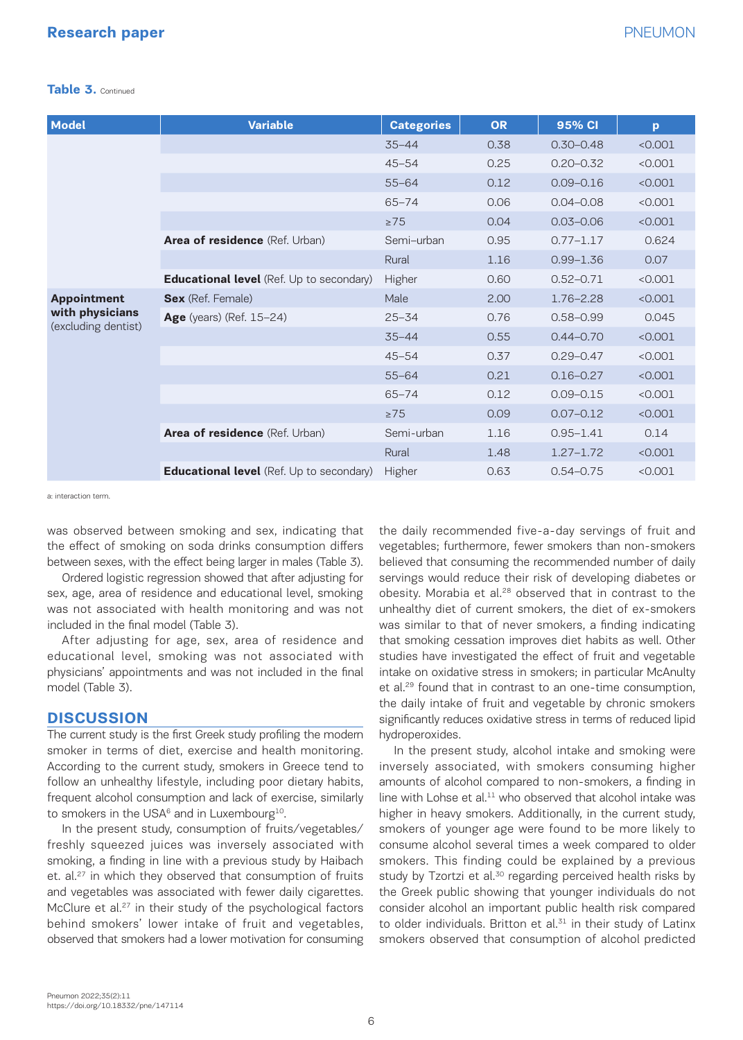# **Research paper** PNEUMON

#### **Table 3.** Continued

| <b>Model</b>                                                 | <b>Variable</b>                                 | <b>Categories</b> | <b>OR</b> | 95% CI        | p       |
|--------------------------------------------------------------|-------------------------------------------------|-------------------|-----------|---------------|---------|
|                                                              |                                                 | $35 - 44$         | 0.38      | $0.30 - 0.48$ | < 0.001 |
|                                                              |                                                 | $45 - 54$         | 0.25      | $0.20 - 0.32$ | < 0.001 |
|                                                              |                                                 | $55 - 64$         | 0.12      | $0.09 - 0.16$ | < 0.001 |
|                                                              |                                                 | $65 - 74$         | 0.06      | $0.04 - 0.08$ | < 0.001 |
|                                                              |                                                 | $\geq$ 75         | 0.04      | $0.03 - 0.06$ | < 0.001 |
|                                                              | Area of residence (Ref. Urban)                  | Semi-urban        | 0.95      | $0.77 - 1.17$ | 0.624   |
|                                                              |                                                 | Rural             | 1.16      | $0.99 - 1.36$ | 0.07    |
|                                                              | Educational level (Ref. Up to secondary)        | Higher            | 0.60      | $0.52 - 0.71$ | < 0.001 |
| <b>Appointment</b><br>with physicians<br>(excluding dentist) | <b>Sex</b> (Ref. Female)                        | Male              | 2.00      | $1.76 - 2.28$ | < 0.001 |
|                                                              | <b>Age</b> (years) (Ref. 15-24)                 | $25 - 34$         | 0.76      | $0.58 - 0.99$ | 0.045   |
|                                                              |                                                 | $35 - 44$         | 0.55      | $0.44 - 0.70$ | < 0.001 |
|                                                              |                                                 | $45 - 54$         | 0.37      | $0.29 - 0.47$ | < 0.001 |
|                                                              |                                                 | $55 - 64$         | 0.21      | $0.16 - 0.27$ | < 0.001 |
|                                                              |                                                 | $65 - 74$         | 0.12      | $0.09 - 0.15$ | < 0.001 |
|                                                              |                                                 | $\geq 75$         | 0.09      | $0.07 - 0.12$ | < 0.001 |
|                                                              | Area of residence (Ref. Urban)                  | Semi-urban        | 1.16      | $0.95 - 1.41$ | 0.14    |
|                                                              |                                                 | Rural             | 1.48      | $1.27 - 1.72$ | < 0.001 |
|                                                              | <b>Educational level</b> (Ref. Up to secondary) | Higher            | 0.63      | $0.54 - 0.75$ | < 0.001 |

a: interaction term.

was observed between smoking and sex, indicating that the effect of smoking on soda drinks consumption differs between sexes, with the effect being larger in males (Table 3).

Ordered logistic regression showed that after adjusting for sex, age, area of residence and educational level, smoking was not associated with health monitoring and was not included in the final model (Table 3).

After adjusting for age, sex, area of residence and educational level, smoking was not associated with physicians' appointments and was not included in the final model (Table 3).

# **DISCUSSION**

The current study is the first Greek study profiling the modern smoker in terms of diet, exercise and health monitoring. According to the current study, smokers in Greece tend to follow an unhealthy lifestyle, including poor dietary habits, frequent alcohol consumption and lack of exercise, similarly to smokers in the USA $6$  and in Luxembourg<sup>10</sup>.

In the present study, consumption of fruits/vegetables/ freshly squeezed juices was inversely associated with smoking, a finding in line with a previous study by Haibach et. al.<sup>27</sup> in which they observed that consumption of fruits and vegetables was associated with fewer daily cigarettes. McClure et al.<sup>27</sup> in their study of the psychological factors behind smokers' lower intake of fruit and vegetables, observed that smokers had a lower motivation for consuming the daily recommended five-a-day servings of fruit and vegetables; furthermore, fewer smokers than non-smokers believed that consuming the recommended number of daily servings would reduce their risk of developing diabetes or obesity. Morabia et al.28 observed that in contrast to the unhealthy diet of current smokers, the diet of ex-smokers was similar to that of never smokers, a finding indicating that smoking cessation improves diet habits as well. Other studies have investigated the effect of fruit and vegetable intake on oxidative stress in smokers; in particular McAnulty et al.29 found that in contrast to an one-time consumption, the daily intake of fruit and vegetable by chronic smokers significantly reduces oxidative stress in terms of reduced lipid hydroperoxides.

In the present study, alcohol intake and smoking were inversely associated, with smokers consuming higher amounts of alcohol compared to non-smokers, a finding in line with Lohse et al. $^{11}$  who observed that alcohol intake was higher in heavy smokers. Additionally, in the current study, smokers of younger age were found to be more likely to consume alcohol several times a week compared to older smokers. This finding could be explained by a previous study by Tzortzi et al.<sup>30</sup> regarding perceived health risks by the Greek public showing that younger individuals do not consider alcohol an important public health risk compared to older individuals. Britton et al.<sup>31</sup> in their study of Latinx smokers observed that consumption of alcohol predicted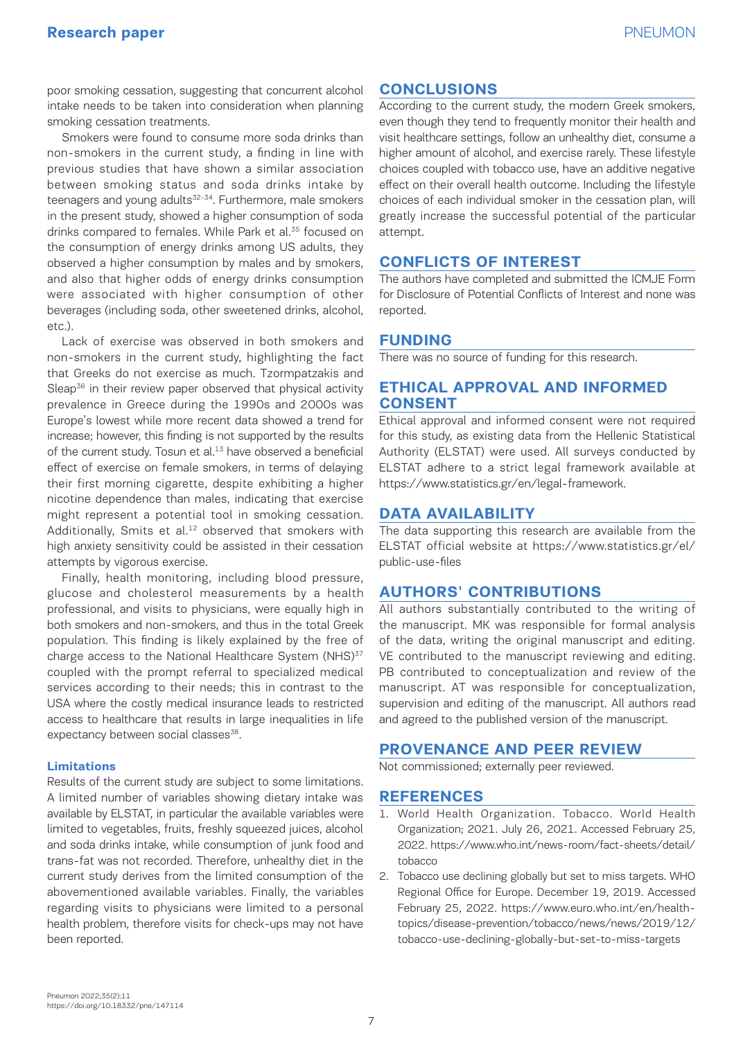poor smoking cessation, suggesting that concurrent alcohol intake needs to be taken into consideration when planning smoking cessation treatments.

Smokers were found to consume more soda drinks than non-smokers in the current study, a finding in line with previous studies that have shown a similar association between smoking status and soda drinks intake by teenagers and young adults<sup>32-34</sup>. Furthermore, male smokers in the present study, showed a higher consumption of soda drinks compared to females. While Park et al.<sup>35</sup> focused on the consumption of energy drinks among US adults, they observed a higher consumption by males and by smokers, and also that higher odds of energy drinks consumption were associated with higher consumption of other beverages (including soda, other sweetened drinks, alcohol, etc.).

Lack of exercise was observed in both smokers and non-smokers in the current study, highlighting the fact that Greeks do not exercise as much. Tzormpatzakis and Sleap<sup>36</sup> in their review paper observed that physical activity prevalence in Greece during the 1990s and 2000s was Europe's lowest while more recent data showed a trend for increase; however, this finding is not supported by the results of the current study. Tosun et al.<sup>13</sup> have observed a beneficial effect of exercise on female smokers, in terms of delaying their first morning cigarette, despite exhibiting a higher nicotine dependence than males, indicating that exercise might represent a potential tool in smoking cessation. Additionally, Smits et al.<sup>12</sup> observed that smokers with high anxiety sensitivity could be assisted in their cessation attempts by vigorous exercise.

Finally, health monitoring, including blood pressure, glucose and cholesterol measurements by a health professional, and visits to physicians, were equally high in both smokers and non-smokers, and thus in the total Greek population. This finding is likely explained by the free of charge access to the National Healthcare System (NHS)<sup>37</sup> coupled with the prompt referral to specialized medical services according to their needs; this in contrast to the USA where the costly medical insurance leads to restricted access to healthcare that results in large inequalities in life expectancy between social classes<sup>38</sup>.

#### **Limitations**

Results of the current study are subject to some limitations. A limited number of variables showing dietary intake was available by ELSTAT, in particular the available variables were limited to vegetables, fruits, freshly squeezed juices, alcohol and soda drinks intake, while consumption of junk food and trans-fat was not recorded. Therefore, unhealthy diet in the current study derives from the limited consumption of the abovementioned available variables. Finally, the variables regarding visits to physicians were limited to a personal health problem, therefore visits for check-ups may not have been reported.

# **CONCLUSIONS**

According to the current study, the modern Greek smokers, even though they tend to frequently monitor their health and visit healthcare settings, follow an unhealthy diet, consume a higher amount of alcohol, and exercise rarely. These lifestyle choices coupled with tobacco use, have an additive negative effect on their overall health outcome. Including the lifestyle choices of each individual smoker in the cessation plan, will greatly increase the successful potential of the particular attempt.

# **CONFLICTS OF INTEREST**

The authors have completed and submitted the ICMJE Form for Disclosure of Potential Conflicts of Interest and none was reported.

# **FUNDING**

There was no source of funding for this research.

# **ETHICAL APPROVAL AND INFORMED CONSENT**

Ethical approval and informed consent were not required for this study, as existing data from the Hellenic Statistical Authority (ELSTAT) were used. All surveys conducted by ELSTAT adhere to a strict legal framework available at https://www.statistics.gr/en/legal-framework.

# **DATA AVAILABILITY**

The data supporting this research are available from the ELSTAT official website at https://www.statistics.gr/el/ public-use-files

# **AUTHORS' CONTRIBUTIONS**

All authors substantially contributed to the writing of the manuscript. MK was responsible for formal analysis of the data, writing the original manuscript and editing. VE contributed to the manuscript reviewing and editing. PB contributed to conceptualization and review of the manuscript. AT was responsible for conceptualization, supervision and editing of the manuscript. All authors read and agreed to the published version of the manuscript.

# **PROVENANCE AND PEER REVIEW**

Not commissioned; externally peer reviewed.

#### **REFERENCES**

- 1. World Health Organization. Tobacco. World Health Organization; 2021. July 26, 2021. Accessed February 25, 2022. https://www.who.int/news-room/fact-sheets/detail/ tobacco
- 2. Tobacco use declining globally but set to miss targets. WHO Regional Office for Europe. December 19, 2019. Accessed February 25, 2022. https://www.euro.who.int/en/healthtopics/disease-prevention/tobacco/news/news/2019/12/ tobacco-use-declining-globally-but-set-to-miss-targets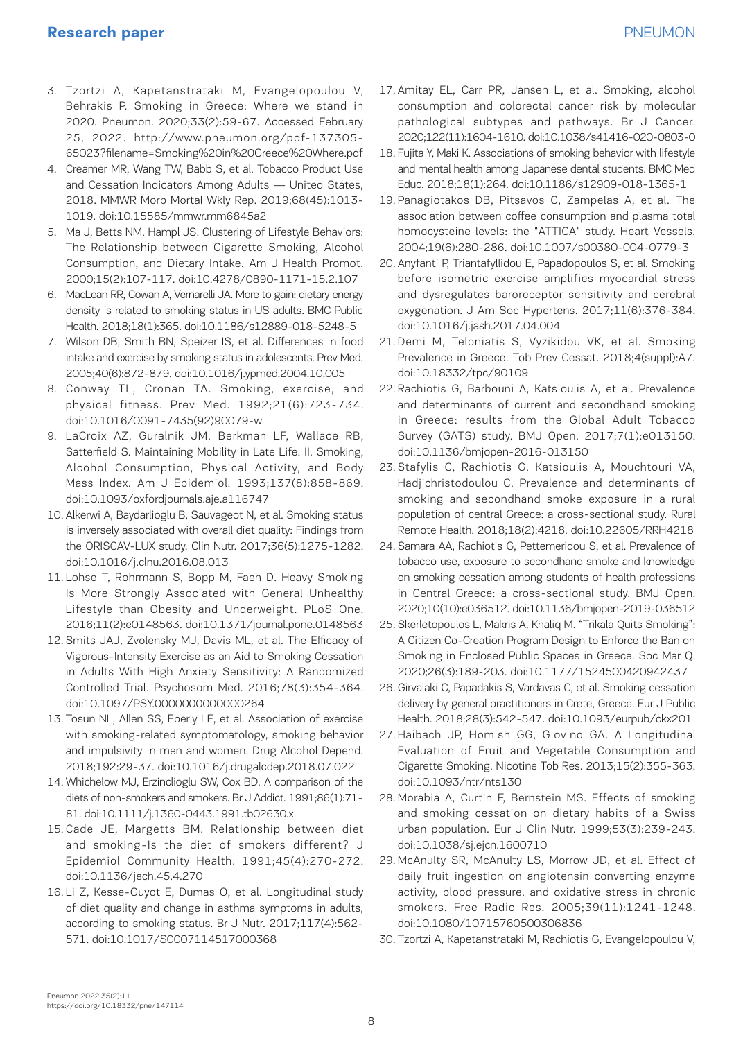# **Research paper** PNEUMON

- 3. Tzortzi A, Kapetanstrataki M, Evangelopoulou V, Behrakis P. Smoking in Greece: Where we stand in 2020. Pneumon. 2020;33(2):59-67. Accessed February 25, 2022. http://www.pneumon.org/pdf-137305- 65023?filename=Smoking%20in%20Greece%20Where.pdf
- 4. Creamer MR, Wang TW, Babb S, et al. Tobacco Product Use and Cessation Indicators Among Adults — United States, 2018. MMWR Morb Mortal Wkly Rep. 2019;68(45):1013- 1019. doi:10.15585/mmwr.mm6845a2
- 5. Ma J, Betts NM, Hampl JS. Clustering of Lifestyle Behaviors: The Relationship between Cigarette Smoking, Alcohol Consumption, and Dietary Intake. Am J Health Promot. 2000;15(2):107-117. doi:10.4278/0890-1171-15.2.107
- 6. MacLean RR, Cowan A, Vernarelli JA. More to gain: dietary energy density is related to smoking status in US adults. BMC Public Health. 2018;18(1):365. doi:10.1186/s12889-018-5248-5
- 7. Wilson DB, Smith BN, Speizer IS, et al. Differences in food intake and exercise by smoking status in adolescents. Prev Med. 2005;40(6):872-879. doi:10.1016/j.ypmed.2004.10.005
- 8. Conway TL, Cronan TA. Smoking, exercise, and physical fitness. Prev Med. 1992;21(6):723-734. doi:10.1016/0091-7435(92)90079-w
- 9. LaCroix AZ, Guralnik JM, Berkman LF, Wallace RB, Satterfield S. Maintaining Mobility in Late Life. II. Smoking, Alcohol Consumption, Physical Activity, and Body Mass Index. Am J Epidemiol. 1993;137(8):858-869. doi:10.1093/oxfordjournals.aje.a116747
- 10. Alkerwi A, Baydarlioglu B, Sauvageot N, et al. Smoking status is inversely associated with overall diet quality: Findings from the ORISCAV-LUX study. Clin Nutr. 2017;36(5):1275-1282. doi:10.1016/j.clnu.2016.08.013
- 11. Lohse T, Rohrmann S, Bopp M, Faeh D. Heavy Smoking Is More Strongly Associated with General Unhealthy Lifestyle than Obesity and Underweight. PLoS One. 2016;11(2):e0148563. doi:10.1371/journal.pone.0148563
- 12. Smits JAJ, Zvolensky MJ, Davis ML, et al. The Efficacy of Vigorous-Intensity Exercise as an Aid to Smoking Cessation in Adults With High Anxiety Sensitivity: A Randomized Controlled Trial. Psychosom Med. 2016;78(3):354-364. doi:10.1097/PSY.0000000000000264
- 13. Tosun NL, Allen SS, Eberly LE, et al. Association of exercise with smoking-related symptomatology, smoking behavior and impulsivity in men and women. Drug Alcohol Depend. 2018;192:29-37. doi:10.1016/j.drugalcdep.2018.07.022
- 14. Whichelow MJ, Erzinclioglu SW, Cox BD. A comparison of the diets of non-smokers and smokers. Br J Addict. 1991;86(1):71- 81. doi:10.1111/j.1360-0443.1991.tb02630.x
- 15. Cade JE, Margetts BM. Relationship between diet and smoking-Is the diet of smokers different? J Epidemiol Community Health. 1991;45(4):270-272. doi:10.1136/jech.45.4.270
- 16. Li Z, Kesse-Guyot E, Dumas O, et al. Longitudinal study of diet quality and change in asthma symptoms in adults, according to smoking status. Br J Nutr. 2017;117(4):562- 571. doi:10.1017/S0007114517000368
- 17. Amitay EL, Carr PR, Jansen L, et al. Smoking, alcohol consumption and colorectal cancer risk by molecular pathological subtypes and pathways. Br J Cancer. 2020;122(11):1604-1610. doi:10.1038/s41416-020-0803-0
- 18. Fujita Y, Maki K. Associations of smoking behavior with lifestyle and mental health among Japanese dental students. BMC Med Educ. 2018;18(1):264. doi:10.1186/s12909-018-1365-1
- 19. Panagiotakos DB, Pitsavos C, Zampelas A, et al. The association between coffee consumption and plasma total homocysteine levels: the "ATTICA" study. Heart Vessels. 2004;19(6):280-286. doi:10.1007/s00380-004-0779-3
- 20. Anyfanti P, Triantafyllidou E, Papadopoulos S, et al. Smoking before isometric exercise amplifies myocardial stress and dysregulates baroreceptor sensitivity and cerebral oxygenation. J Am Soc Hypertens. 2017;11(6):376-384. doi:10.1016/j.jash.2017.04.004
- 21. Demi M, Teloniatis S, Vyzikidou VK, et al. Smoking Prevalence in Greece. Tob Prev Cessat. 2018;4(suppl):A7. doi:10.18332/tpc/90109
- 22. Rachiotis G, Barbouni A, Katsioulis A, et al. Prevalence and determinants of current and secondhand smoking in Greece: results from the Global Adult Tobacco Survey (GATS) study. BMJ Open. 2017;7(1):e013150. doi:10.1136/bmjopen-2016-013150
- 23. Stafylis C, Rachiotis G, Katsioulis A, Mouchtouri VA, Hadjichristodoulou C. Prevalence and determinants of smoking and secondhand smoke exposure in a rural population of central Greece: a cross-sectional study. Rural Remote Health. 2018;18(2):4218. doi:10.22605/RRH4218
- 24. Samara AA, Rachiotis G, Pettemeridou S, et al. Prevalence of tobacco use, exposure to secondhand smoke and knowledge on smoking cessation among students of health professions in Central Greece: a cross-sectional study. BMJ Open. 2020;10(10):e036512. doi:10.1136/bmjopen-2019-036512
- 25. Skerletopoulos L, Makris A, Khaliq M. "Trikala Quits Smoking": A Citizen Co-Creation Program Design to Enforce the Ban on Smoking in Enclosed Public Spaces in Greece. Soc Mar Q. 2020;26(3):189-203. doi:10.1177/1524500420942437
- 26. Girvalaki C, Papadakis S, Vardavas C, et al. Smoking cessation delivery by general practitioners in Crete, Greece. Eur J Public Health. 2018;28(3):542-547. doi:10.1093/eurpub/ckx201
- 27. Haibach JP, Homish GG, Giovino GA. A Longitudinal Evaluation of Fruit and Vegetable Consumption and Cigarette Smoking. Nicotine Tob Res. 2013;15(2):355-363. doi:10.1093/ntr/nts130
- 28. Morabia A, Curtin F, Bernstein MS. Effects of smoking and smoking cessation on dietary habits of a Swiss urban population. Eur J Clin Nutr. 1999;53(3):239-243. doi:10.1038/sj.ejcn.1600710
- 29. McAnulty SR, McAnulty LS, Morrow JD, et al. Effect of daily fruit ingestion on angiotensin converting enzyme activity, blood pressure, and oxidative stress in chronic smokers. Free Radic Res. 2005;39(11):1241-1248. doi:10.1080/10715760500306836
- 30. Tzortzi A, Kapetanstrataki M, Rachiotis G, Evangelopoulou V,